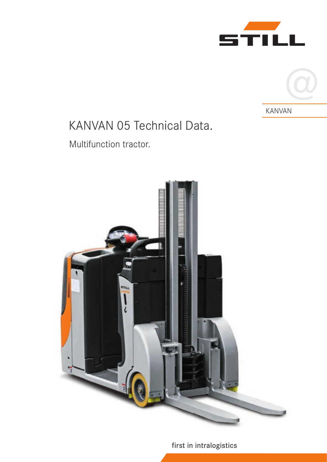



# KANVAN 05 Technical Data.

# Multifunction tractor.



## first in intralogistics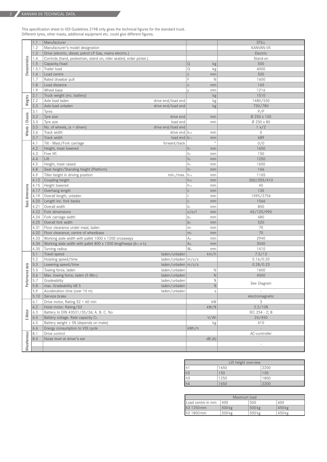This specification sheet to VDI Guidelines 2198 only gives the technical figures for the standard truck. Different tyres, other masts, additional equipment etc. could give different figures.

|                      | 1.1          | Manufacturer                                                                        |                      |                                              | <b>STILL</b>             |
|----------------------|--------------|-------------------------------------------------------------------------------------|----------------------|----------------------------------------------|--------------------------|
|                      | 1.2          | Manufacturer's model designation                                                    |                      |                                              | KANVAN 05                |
|                      | 1.3          | Drive (electric, diesel, petrol LP Gas, mains electric.)                            |                      |                                              | Electric                 |
|                      | 1.4          | Controls (hand, pedestrian, stand on, rider seated, order picker.)                  |                      |                                              | Stand-on                 |
| Characteristics      | 1.5          | Capacity/load                                                                       |                      | $\Omega$<br>kg                               | 500                      |
|                      | 1.5.1        | Trailer load                                                                        |                      | $\Omega$<br>kg                               | 4000                     |
|                      | 1.6          | Load centre                                                                         |                      | $\mathbb{C}$<br>mm                           | 500                      |
|                      | 1.7          | Rated drawbar pull                                                                  |                      | F<br>Ν                                       | 1600                     |
|                      | 1.8          | Load distance                                                                       |                      | $\mathsf{X}$<br>mm                           | 165                      |
|                      | 1.9          | Wheel base                                                                          |                      | $\vee$<br>mm                                 | 1216                     |
| Weights              | 2.1          | Truck weight (inc. battery)                                                         |                      | kg                                           | 1510                     |
|                      | 2.2          | Axle load laden<br>drive end/load end                                               |                      | kg                                           | 1480/530                 |
|                      | 2.3          | Axle load unladen<br>drive end/load end                                             |                      | kg                                           | 730/780                  |
| Wheels   Chassis     | 3.1          | Tyres                                                                               |                      |                                              | P/P                      |
|                      | 3.2          | Tyre size                                                                           | drive end            |                                              | Ø 250 x 100              |
|                      | 3.3          | Tyre size                                                                           | load end             | mm                                           | Ø 250 x 80               |
|                      |              | drive end/load end                                                                  |                      | mm                                           |                          |
|                      | 3.5          | No. of wheels, $(x =$ driven)                                                       |                      |                                              | 1 x/2                    |
|                      | 3.6          | Track width                                                                         | drive end $ b_{10} $ | mm                                           | 0                        |
|                      | 3.7          | Track width                                                                         | load end $ b_{11} $  | mm<br>$\circ$                                | 689                      |
|                      | 4.1          | forward/back<br>Tilt - Mast/Fork carriage                                           |                      |                                              | 0/0                      |
|                      | 4.2          | Height, mast lowered                                                                |                      | $h_1$<br>mm                                  | 1650                     |
|                      | 4.3          | Free lift                                                                           |                      | h <sub>2</sub><br>mm                         | 150                      |
|                      | 4.4          | Lift                                                                                |                      | hз<br>mm                                     | 1250                     |
|                      | 4.5          | Height, mast raised                                                                 |                      | h <sub>4</sub><br>mm                         | 1650                     |
|                      | 4.8          | Seat height/Standing height (Platform)                                              |                      | h <sub>7</sub><br>mm                         | 146                      |
|                      | 4.9          | Tiller height in driving position                                                   | min./max.            | h <sub>14</sub><br>mm                        | 1165                     |
|                      | 4.12         | Coupling height                                                                     |                      | $h_{10}$<br>mm                               | 300/355/410              |
|                      | 4.15         | Height lowered                                                                      |                      | $h_{13}$<br>mm                               | 45                       |
|                      | 4.17         | Overhang length                                                                     |                      | $\mathsf{I}_5$<br>mm                         | 135                      |
|                      | 4.19         | Overall length, unladen                                                             |                      | h.<br>mm                                     | 1595/2756                |
| Basic dimensions     | 4.20         | Length inc. fork backs                                                              |                      | $\mathsf{I}_2$<br>mm                         | 1566                     |
|                      | 4.21         | Overall width                                                                       |                      | b <sub>1</sub><br>mm                         | 800                      |
|                      | 4.22         | Fork dimensions                                                                     |                      | s/e/l<br>mm                                  | 45/120/990               |
|                      | 4.24<br>4.25 | Fork carriage width                                                                 |                      | b3<br>mm                                     | 480<br>520               |
|                      |              | Overall fork width                                                                  |                      | b <sub>5</sub><br>mm                         |                          |
|                      | 4.31<br>4.32 | Floor clearance under mast, laden<br>Floor clearance, centre of wheelbase           |                      | m <sub>1</sub><br>mm<br>m <sub>2</sub><br>mm | 70<br>70                 |
|                      | 4.33         | Working aisle width with pallet 1000 x 1200 crossways                               |                      | A <sub>st</sub><br>mm                        | 2940                     |
|                      | 4.34         | Working aisle width with pallet 800 x 1200 lengthways ( $b_{12}$ x l <sub>6</sub> ) |                      | A <sub>st</sub><br>mm                        | 3040                     |
|                      | 4.35         | Turning radius                                                                      |                      | Wa<br>mm                                     | 1410                     |
|                      | 5.1          | Travel speed<br>laden/unladen                                                       |                      | km/h                                         | 7.5/13                   |
|                      | 5.2          | Hoisting speed/time<br>laden/unladen   m/s/s                                        |                      |                                              | 0.16/0.20                |
|                      | 5.3          | Lowering speed/time<br>laden/unladen   m/s/s                                        |                      |                                              | 0.28/0.23                |
|                      | 5.5          | Towing force, laden<br>laden/unladen                                                |                      | Ν                                            | 1600                     |
|                      | 5.6          | Max. towing force, laden (5 Min.)<br>laden/unladen                                  |                      | $\hbox{N}$                                   | 4000                     |
| erformance data      | 5.7          | Gradeability<br>laden/unladen                                                       |                      | $\%$                                         |                          |
|                      | 5.8          | max. Gradeability kB 5<br>laden/unladen                                             |                      | $\%$                                         | See Diagram              |
|                      | 5.9          | Acceleration time (over 10 m)<br>laden/unladen                                      |                      | S                                            | $\overline{\phantom{a}}$ |
|                      | 5.10         | Service brake                                                                       |                      |                                              | electromagnetic          |
|                      | 6.1          | Drive motor, Rating $S2 = 60$ min                                                   |                      | $\mathsf{k}\mathsf{W}$                       | 3                        |
|                      | 6.2          | Hoist motor. Rating/S3                                                              |                      | $kW/$ %                                      | 2.2/10%                  |
|                      | 6.3          | Battery to DIN 43531/35/36; A. B. C. No                                             |                      |                                              | IEC 254 - 2; B           |
| E-Motor              | 6.4          | Battery voltage. Rate capacity C5                                                   |                      | V/Ah                                         | 24/450                   |
|                      | 6.5          | Battery weight $\pm$ 5% (depends on make)                                           |                      | kg                                           | 410                      |
|                      | 6.6          | Energy consumption to VDI cycle                                                     |                      | kWh/h                                        |                          |
|                      | 8.1          | Drive control                                                                       |                      |                                              | AC-controller            |
|                      | 8.4          | Noise level at driver's ear                                                         |                      | dB(A)                                        |                          |
| <b>Miscellaneous</b> |              |                                                                                     |                      |                                              | $\overline{\phantom{a}}$ |
|                      |              |                                                                                     |                      |                                              |                          |

|    | Lift height overview |      |  |  |
|----|----------------------|------|--|--|
|    | 1650                 | 2200 |  |  |
| h2 | 150                  | 150  |  |  |
| h3 | 1250                 | 1800 |  |  |
| h4 | 1650                 | 2200 |  |  |

| Maximum load           |        |        |                   |  |  |  |
|------------------------|--------|--------|-------------------|--|--|--|
| Load centre in mm      | 400    | 500    | 600               |  |  |  |
| h <sub>3</sub> 1250 mm | 500 kg | 500 kg | 450 <sub>kg</sub> |  |  |  |
| h3 1800 mm             | 500 kg | 500 kg | 450 kg            |  |  |  |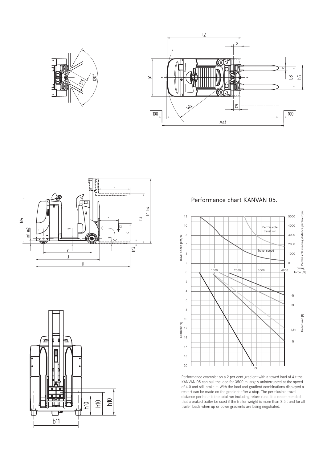







Performance chart KANVAN 05.



Performance example: on a 2 per cent gradient with a towed load of 4 t the KANVAN 05 can pull the load for 3500 m largely uninterrupted at the speed of 4.0 and still brake it. With the load and gradient combinations displayed a restart can be made on the gradient after a stop. The permissible travel distance per hour is the total run including return runs. It is recommended that a braked trailer be used if the trailer weight is more than 2.5 t and for all trailer loads when up or down gradients are being negotiated.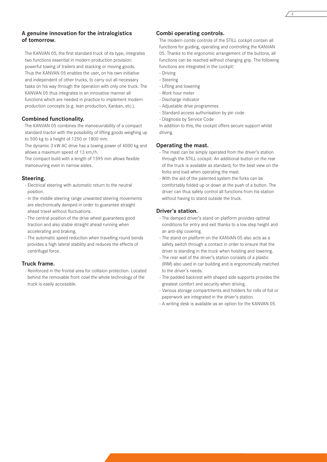#### **A genuine innovation for the intralogistics of tomorrow.**

The KANVAN 05, the first standard truck of its type, integrates two functions essential in modern production provision: powerful towing of trailers and stacking or moving goods. Thus the KANVAN 05 enables the user, on his own initiative and independent of other trucks, to carry out all necessary tasks on his way through the operation with only one truck. The KANVAN 05 thus integrates in an innovative manner all functions which are needed in practice to implement modern production concepts (e.g. lean production, Kanban, etc.).

#### **Combined functionality.**

The KANVAN 05 combines the manoeuvrability of a compact standard tractor with the possibility of lifting goods weighing up to 500 kg to a height of 1250 or 1800 mm.

The dynamic 3 kW AC drive has a towing power of 4000 kg and allows a maximum speed of 13 km/h.

The compact build with a length of 1595 mm allows flexible manoeuvring even in narrow aisles.

#### **Steering.**

- Electrical steering with automatic return to the neutral position.
- In the middle steering range unwanted steering movements are electronically damped in order to guarantee straight ahead travel without fluctuations.
- The central position of the drive wheel guarantees good traction and also stable straight ahead running when accelerating and braking.
- The automatic speed reduction when travelling round bends provides a high lateral stability and reduces the effects of centrifugal force.

#### **Truck frame.**

- Reinforced in the frontal area for collision protection. Located behind the removable front cowl the whole technology of the truck is easily accessible.

#### **Combi operating controls.**

The modern combi controls of the STILL cockpit contain all functions for guiding, operating and controlling the KANVAN 05. Thanks to the ergonomic arrangement of the buttons, all functions can be reached without changing grip. The following functions are integrated in the cockpit:

- Driving
- Steering
- Lifting and lowering
- Work hour meter
- Discharge indicator
- Adjustable drive programmes - Standard access authorisation by pin code
- 
- Diagnosis by Service Code

In addition to this, the cockpit offers secure support whilst driving.

#### **Operating the mast.**

- The mast can be simply operated from the driver's station through the STILL cockpit. An additional button on the rear of the truck is available as standard, for the best view on the forks and load when operating the mast.
- With the aid of the patented system the forks can be comfortably folded up or down at the push of a button. The driver can thus safely control all functions from his station without having to stand outside the truck.

#### **Driver's station.**

- The damped driver's stand on platform provides optimal conditions for entry and exit thanks to a low step height and an anti-slip covering.
- The stand on platform on the KANVAN 05 also acts as a safety switch through a contact in order to ensure that the driver is standing in the truck when hoisting and lowering.
- The rear wall of the driver's station consists of a plastic (RIM) also used in car building and is ergonomically matched to the driver's needs.
- The padded backrest with shaped side supports provides the greatest comfort and security when driving.
- Various storage compartments and holders for rolls of foil or paperwork are integrated in the driver's station.
- A writing desk is available as an option for the KANVAN 05.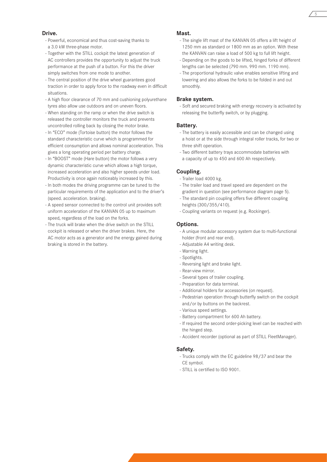#### **Drive.**

- Powerful, economical and thus cost-saving thanks to a 3.0 kW three-phase motor.
- Together with the STILL cockpit the latest generation of AC controllers provides the opportunity to adjust the truck performance at the push of a button. For this the driver simply switches from one mode to another.
- The central position of the drive wheel guarantees good traction in order to apply force to the roadway even in difficult situations.
- A high floor clearance of 70 mm and cushioning polyurethane tyres also allow use outdoors and on uneven floors.
- When standing on the ramp or when the drive switch is released the controller monitors the truck and prevents uncontrolled rolling back by closing the motor brake.
- In "ECO" mode (Tortoise button) the motor follows the standard characteristic curve which is programmed for efficient consumption and allows nominal acceleration. This gives a long operating period per battery charge.
- In "BOOST" mode (Hare button) the motor follows a very dynamic characteristic curve which allows a high torque, increased acceleration and also higher speeds under load. Productivity is once again noticeably increased by this.
- In both modes the driving programme can be tuned to the particular requirements of the application and to the driver's (speed. acceleration. braking).
- A speed sensor connected to the control unit provides soft uniform acceleration of the KANVAN 05 up to maximum speed, regardless of the load on the forks.
- The truck will brake when the drive switch on the STILL cockpit is released or when the driver brakes. Here, the AC motor acts as a generator and the energy gained during braking is stored in the battery.

#### **Mast.**

- The single lift mast of the KANVAN 05 offers a lift height of 1250 mm as standard or 1800 mm as an option. With these the KANVAN can raise a load of 500 kg to full lift height.

5

- Depending on the goods to be lifted, hinged forks of different lengths can be selected (790 mm. 990 mm. 1190 mm).
- The proportional hydraulic valve enables sensitive lifting and lowering and also allows the forks to be folded in and out smoothly.

#### **Brake system.**

- Soft and secured braking with energy recovery is activated by releasing the butterfly switch, or by plugging.

#### **Battery.**

- The battery is easily accessible and can be changed using a hoist or at the side through integral roller tracks, for two or three shift operation.
- Two different battery trays accommodate batteries with a capacity of up to 450 and 600 Ah respectively.

#### **Coupling.**

- Trailer load 4000 kg.
- The trailer load and travel speed are dependent on the gradient in question (see performance diagram page 5).
- The standard pin coupling offers five different coupling heights (300/355/410).
- Coupling variants on request (e.g. Rockinger).

#### **Options.**

- A unique modular accessory system due to multi-functional holder (front and rear end).
- Adjustable A4 writing desk.
- Warning light.
- Spotlights.
- Reversing light and brake light.
- Rear-view mirror.
- Several types of trailer coupling.
- Preparation for data terminal.
- Additional holders for accessories (on request).
- Pedestrian operation through butterfly switch on the cockpit and/or by buttons on the backrest.
- Various speed settings.
- Battery compartment for 600 Ah battery.
- If required the second order-picking level can be reached with the hinged step.
- Accident recorder (optional as part of STILL FleetManager).

#### **Safety.**

- Trucks comply with the EC guideline 98/37 and bear the CE symbol.
- STILL is certified to ISO 9001.